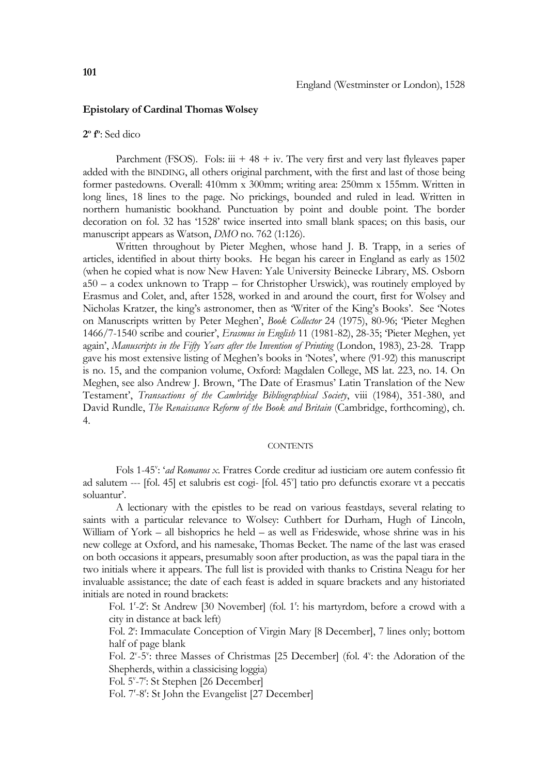## **Epistolary of Cardinal Thomas Wolsey**

## **2o fo** : Sed dico

Parchment (FSOS). Fols:  $\dddot{u}$  + 48 + iv. The very first and very last flyleaves paper added with the BINDING, all others original parchment, with the first and last of those being former pastedowns. Overall: 410mm x 300mm; writing area: 250mm x 155mm. Written in long lines, 18 lines to the page. No prickings, bounded and ruled in lead. Written in northern humanistic bookhand. Punctuation by point and double point. The border decoration on fol. 32 has '1528' twice inserted into small blank spaces; on this basis, our manuscript appears as Watson, *DMO* no. 762 (1:126).

 Written throughout by Pieter Meghen, whose hand J. B. Trapp, in a series of articles, identified in about thirty books. He began his career in England as early as 1502 (when he copied what is now New Haven: Yale University Beinecke Library, MS. Osborn a50 – a codex unknown to Trapp – for Christopher Urswick), was routinely employed by Erasmus and Colet, and, after 1528, worked in and around the court, first for Wolsey and Nicholas Kratzer, the king's astronomer, then as 'Writer of the King's Books'. See 'Notes on Manuscripts written by Peter Meghen', *Book Collector* 24 (1975), 80-96; 'Pieter Meghen 1466/7-1540 scribe and courier', *Erasmus in English* 11 (1981-82), 28-35; 'Pieter Meghen, yet again', *Manuscripts in the Fifty Years after the Invention of Printing* (London, 1983), 23-28. Trapp gave his most extensive listing of Meghen's books in 'Notes', where (91-92) this manuscript is no. 15, and the companion volume, Oxford: Magdalen College, MS lat. 223, no. 14. On Meghen, see also Andrew J. Brown, 'The Date of Erasmus' Latin Translation of the New Testament', *Transactions of the Cambridge Bibliographical Society*, viii (1984), 351-380, and David Rundle, *The Renaissance Reform of the Book and Britain* (Cambridge, forthcoming), ch. 4.

## **CONTENTS**

Fols 1-45": '*ad Romanos x*. Fratres Corde creditur ad iusticiam ore autem confessio fit ad salutem --- [fol. 45] et salubris est cogi- [fol. 45<sup>v</sup>] tatio pro defunctis exorare vt a peccatis soluantur'.

 A lectionary with the epistles to be read on various feastdays, several relating to saints with a particular relevance to Wolsey: Cuthbert for Durham, Hugh of Lincoln, William of York – all bishoprics he held – as well as Frideswide, whose shrine was in his new college at Oxford, and his namesake, Thomas Becket. The name of the last was erased on both occasions it appears, presumably soon after production, as was the papal tiara in the two initials where it appears. The full list is provided with thanks to Cristina Neagu for her invaluable assistance; the date of each feast is added in square brackets and any historiated initials are noted in round brackets:

Fol. 1<sup>'</sup>-2<sup>'</sup>: St Andrew [30 November] (fol. 1<sup>'</sup>: his martyrdom, before a crowd with a city in distance at back left)

Fol. 2<sup>r</sup>: Immaculate Conception of Virgin Mary [8 December], 7 lines only; bottom half of page blank

Fol. 2<sup>v</sup>-5<sup>v</sup>: three Masses of Christmas [25 December] (fol. 4<sup>v</sup>: the Adoration of the Shepherds, within a classicising loggia)

Fol. 5°-7<sup>°</sup>: St Stephen [26 December]

Fol. 7'-8': St John the Evangelist [27 December]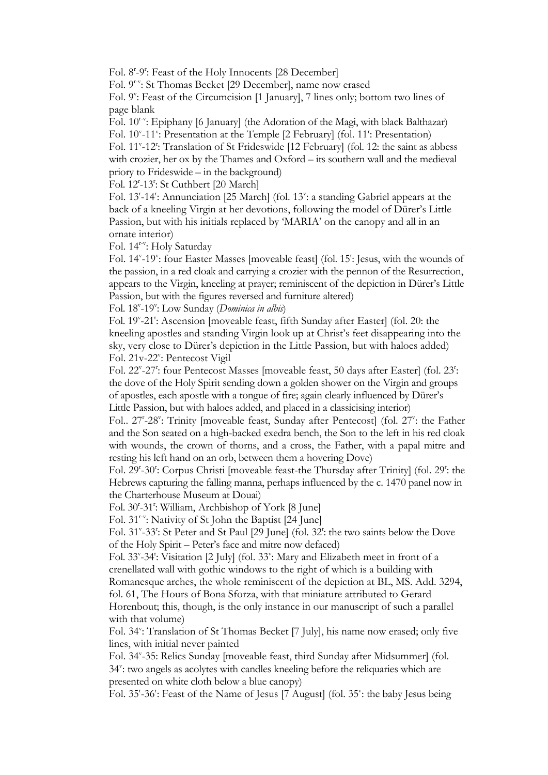Fol. 8<sup>r</sup>-9<sup>r</sup>: Feast of the Holy Innocents [28 December]

Fol. 9r-v: St Thomas Becket [29 December], name now erased

Fol. 9": Feast of the Circumcision [1 January], 7 lines only; bottom two lines of page blank

Fol.  $10^{r-v}$ : Epiphany [6 January] (the Adoration of the Magi, with black Balthazar)

Fol. 10<sup>v</sup>-11<sup>v</sup>: Presentation at the Temple [2 February] (fol. 11<sup>t</sup>: Presentation)

Fol. 11<sup>v</sup>-12<sup>t</sup>: Translation of St Frideswide [12 February] (fol. 12: the saint as abbess with crozier, her ox by the Thames and Oxford – its southern wall and the medieval priory to Frideswide – in the background)

Fol. 12<sup>*z*</sup>-13<sup>*z*</sup>: St Cuthbert [20 March]

Fol. 13<sup>r</sup>-14<sup>r</sup>: Annunciation [25 March] (fol. 13<sup>v</sup>: a standing Gabriel appears at the back of a kneeling Virgin at her devotions, following the model of Dürer's Little Passion, but with his initials replaced by 'MARIA' on the canopy and all in an ornate interior)

Fol. 14r-v: Holy Saturday

Fol. 14<sup>v</sup>-19<sup>v</sup>: four Easter Masses [moveable feast] (fol. 15<sup>r</sup>: Jesus, with the wounds of the passion, in a red cloak and carrying a crozier with the pennon of the Resurrection, appears to the Virgin, kneeling at prayer; reminiscent of the depiction in Dürer's Little Passion, but with the figures reversed and furniture altered)

Fol. 18<sup>v</sup>-19<sup>v</sup>: Low Sunday (*Dominica in albis*)

Fol. 19<sup>v</sup>-21<sup>t</sup>: Ascension [moveable feast, fifth Sunday after Easter] (fol. 20: the kneeling apostles and standing Virgin look up at Christ's feet disappearing into the sky, very close to Dürer's depiction in the Little Passion, but with haloes added) Fol. 21v-22": Pentecost Vigil

Fol. 22<sup>v</sup>-27<sup>t</sup>: four Pentecost Masses [moveable feast, 50 days after Easter] (fol. 23<sup>t</sup>: the dove of the Holy Spirit sending down a golden shower on the Virgin and groups of apostles, each apostle with a tongue of fire; again clearly influenced by Dürer's Little Passion, but with haloes added, and placed in a classicising interior)

Fol.. 27<sup>'</sup>-28<sup>v</sup>: Trinity [moveable feast, Sunday after Pentecost] (fol. 27<sup>v</sup>: the Father and the Son seated on a high-backed exedra bench, the Son to the left in his red cloak with wounds, the crown of thorns, and a cross, the Father, with a papal mitre and resting his left hand on an orb, between them a hovering Dove)

Fol. 29<sup>r</sup>-30<sup>r</sup>: Corpus Christi [moveable feast-the Thursday after Trinity] (fol. 29<sup>r</sup>: the Hebrews capturing the falling manna, perhaps influenced by the c. 1470 panel now in the Charterhouse Museum at Douai)

Fol. 30'-31': William, Archbishop of York [8 June]

Fol. 31r-v: Nativity of St John the Baptist [24 June]

Fol. 31<sup>v</sup>-33<sup>r</sup>: St Peter and St Paul [29 June] (fol. 32<sup>r</sup>: the two saints below the Dove of the Holy Spirit – Peter's face and mitre now defaced)

Fol. 33<sup>v</sup>-34<sup>t</sup>: Visitation [2 July] (fol. 33<sup>v</sup>: Mary and Elizabeth meet in front of a crenellated wall with gothic windows to the right of which is a building with Romanesque arches, the whole reminiscent of the depiction at BL, MS. Add. 3294, fol. 61, The Hours of Bona Sforza, with that miniature attributed to Gerard Horenbout; this, though, is the only instance in our manuscript of such a parallel with that volume)

Fol. 34<sup>v</sup>: Translation of St Thomas Becket [7 July], his name now erased; only five lines, with initial never painted

Fol. 34<sup>v</sup>-35: Relics Sunday [moveable feast, third Sunday after Midsummer] (fol. 34<sup>v</sup>: two angels as acolytes with candles kneeling before the reliquaries which are presented on white cloth below a blue canopy)

Fol. 35'-36': Feast of the Name of Jesus [7 August] (fol. 35": the baby Jesus being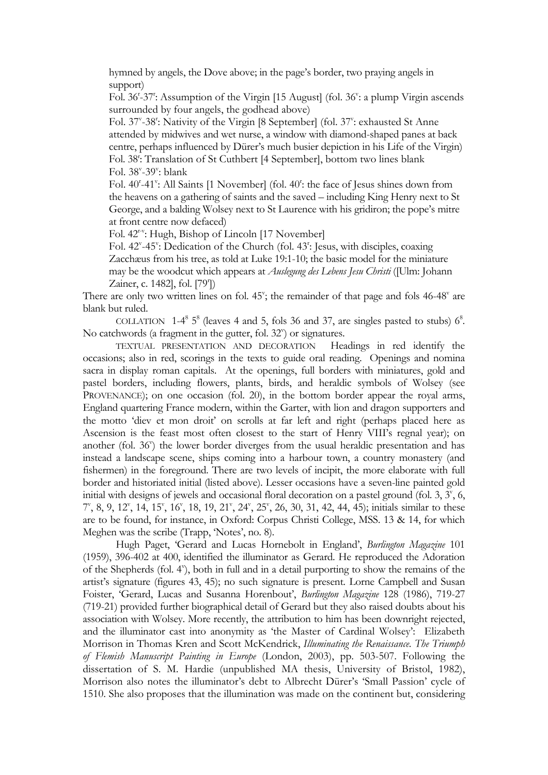hymned by angels, the Dove above; in the page's border, two praying angels in support)

Fol. 36<sup>t</sup>-37<sup>t</sup>: Assumption of the Virgin [15 August] (fol. 36<sup>v</sup>: a plump Virgin ascends surrounded by four angels, the godhead above)

Fol. 37<sup>v</sup>-38<sup>r</sup>: Nativity of the Virgin [8 September] (fol. 37<sup>v</sup>: exhausted St Anne attended by midwives and wet nurse, a window with diamond-shaped panes at back centre, perhaps influenced by Dürer's much busier depiction in his Life of the Virgin) Fol. 38<sup>r</sup>: Translation of St Cuthbert [4 September], bottom two lines blank Fol. 38<sup>v</sup>-39<sup>v</sup>: blank

Fol. 40<sup>r</sup>-41<sup>v</sup>: All Saints [1 November] (fol. 40<sup>t</sup>: the face of Jesus shines down from the heavens on a gathering of saints and the saved – including King Henry next to St George, and a balding Wolsey next to St Laurence with his gridiron; the pope's mitre at front centre now defaced)

Fol. 42<sup>r-v</sup>: Hugh, Bishop of Lincoln [17 November]

Fol. 42<sup>v</sup>-45<sup>v</sup>: Dedication of the Church (fol. 43<sup>t</sup>: Jesus, with disciples, coaxing Zacchæus from his tree, as told at Luke 19:1-10; the basic model for the miniature may be the woodcut which appears at *Auslegung des Lebens Jesu Christi* ([Ulm: Johann Zainer, c. 1482], fol. [79<sup>r</sup>])

There are only two written lines on fol.  $45^{\circ}$ ; the remainder of that page and fols  $46-48^{\circ}$  are blank but ruled.

COLLATION  $1-4^8$  5<sup>8</sup> (leaves 4 and 5, fols 36 and 37, are singles pasted to stubs)  $6^8$ . No catchwords (a fragment in the gutter, fol. 32") or signatures.

TEXTUAL PRESENTATION AND DECORATION Headings in red identify the occasions; also in red, scorings in the texts to guide oral reading. Openings and nomina sacra in display roman capitals. At the openings, full borders with miniatures, gold and pastel borders, including flowers, plants, birds, and heraldic symbols of Wolsey (see PROVENANCE); on one occasion (fol. 20), in the bottom border appear the royal arms, England quartering France modern, within the Garter, with lion and dragon supporters and the motto 'diev et mon droit' on scrolls at far left and right (perhaps placed here as Ascension is the feast most often closest to the start of Henry VIII's regnal year); on another (fol. 36") the lower border diverges from the usual heraldic presentation and has instead a landscape scene, ships coming into a harbour town, a country monastery (and fishermen) in the foreground. There are two levels of incipit, the more elaborate with full border and historiated initial (listed above). Lesser occasions have a seven-line painted gold initial with designs of jewels and occasional floral decoration on a pastel ground (fol.  $3, 3^{\nu}$ , 6, 7<sup>v</sup>, 8, 9, 12<sup>v</sup>, 14, 15<sup>v</sup>, 16<sup>v</sup>, 18, 19, 21<sup>v</sup>, 24<sup>v</sup>, 25<sup>v</sup>, 26, 30, 31, 42, 44, 45); initials similar to these are to be found, for instance, in Oxford: Corpus Christi College, MSS. 13 & 14, for which Meghen was the scribe (Trapp, 'Notes', no. 8).

 Hugh Paget, 'Gerard and Lucas Hornebolt in England', *Burlington Magazine* 101 (1959), 396-402 at 400, identified the illuminator as Gerard. He reproduced the Adoration of the Shepherds (fol. 4"), both in full and in a detail purporting to show the remains of the artist's signature (figures 43, 45); no such signature is present. Lorne Campbell and Susan Foister, 'Gerard, Lucas and Susanna Horenbout', *Burlington Magazine* 128 (1986), 719-27 (719-21) provided further biographical detail of Gerard but they also raised doubts about his association with Wolsey. More recently, the attribution to him has been downright rejected, and the illuminator cast into anonymity as 'the Master of Cardinal Wolsey': Elizabeth Morrison in Thomas Kren and Scott McKendrick, *Illuminating the Renaissance. The Triumph of Flemish Manuscript Painting in Europe* (London, 2003), pp. 503-507. Following the dissertation of S. M. Hardie (unpublished MA thesis, University of Bristol, 1982), Morrison also notes the illuminator's debt to Albrecht Dürer's 'Small Passion' cycle of 1510. She also proposes that the illumination was made on the continent but, considering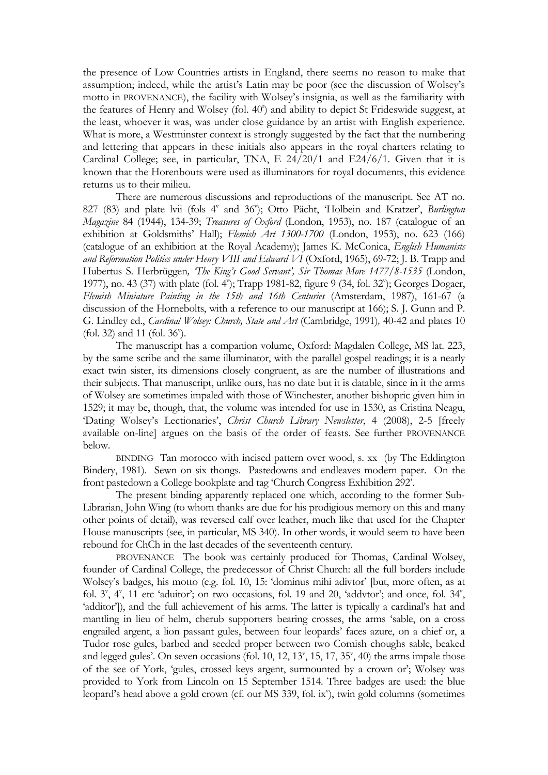the presence of Low Countries artists in England, there seems no reason to make that assumption; indeed, while the artist's Latin may be poor (see the discussion of Wolsey's motto in PROVENANCE), the facility with Wolsey's insignia, as well as the familiarity with the features of Henry and Wolsey (fol. 40<sup>r</sup>) and ability to depict St Frideswide suggest, at the least, whoever it was, was under close guidance by an artist with English experience. What is more, a Westminster context is strongly suggested by the fact that the numbering and lettering that appears in these initials also appears in the royal charters relating to Cardinal College; see, in particular, TNA, E 24/20/1 and E24/6/1. Given that it is known that the Horenbouts were used as illuminators for royal documents, this evidence returns us to their milieu.

 There are numerous discussions and reproductions of the manuscript. See AT no. 827 (83) and plate lvii (fols 4<sup>v</sup> and 36<sup>v</sup>); Otto Pächt, 'Holbein and Kratzer', *Burlington Magazine* 84 (1944), 134-39; *Treasures of Oxford* (London, 1953), no. 187 (catalogue of an exhibition at Goldsmiths' Hall); *Flemish Art 1300-1700* (London, 1953), no. 623 (166) (catalogue of an exhibition at the Royal Academy); James K. McConica, *English Humanists and Reformation Politics under Henry VIII and Edward VI* (Oxford, 1965), 69-72; J. B. Trapp and Hubertus S. Herbrüggen*, 'The King's Good Servant', Sir Thomas More 1477/8-1535* (London, 1977), no. 43 (37) with plate (fol. 4"); Trapp 1981-82, figure 9 (34, fol. 32"); Georges Dogaer, *Flemish Miniature Painting in the 15th and 16th Centuries* (Amsterdam, 1987), 161-67 (a discussion of the Hornebolts, with a reference to our manuscript at 166); S. J. Gunn and P. G. Lindley ed., *Cardinal Wolsey: Church, State and Art* (Cambridge, 1991)*,* 40-42 and plates 10 (fol. 32) and 11 (fol. 36<sup>v</sup>).

 The manuscript has a companion volume, Oxford: Magdalen College, MS lat. 223, by the same scribe and the same illuminator, with the parallel gospel readings; it is a nearly exact twin sister, its dimensions closely congruent, as are the number of illustrations and their subjects. That manuscript, unlike ours, has no date but it is datable, since in it the arms of Wolsey are sometimes impaled with those of Winchester, another bishopric given him in 1529; it may be, though, that, the volume was intended for use in 1530, as Cristina Neagu, 'Dating Wolsey's Lectionaries', *Christ Church Library Newsletter*, 4 (2008), 2-5 [freely available on-line] argues on the basis of the order of feasts. See further PROVENANCE below.

BINDING Tan morocco with incised pattern over wood, s. xx (by The Eddington Bindery, 1981). Sewn on six thongs. Pastedowns and endleaves modern paper. On the front pastedown a College bookplate and tag 'Church Congress Exhibition 292'.

 The present binding apparently replaced one which, according to the former Sub-Librarian, John Wing (to whom thanks are due for his prodigious memory on this and many other points of detail), was reversed calf over leather, much like that used for the Chapter House manuscripts (see, in particular, MS 340). In other words, it would seem to have been rebound for ChCh in the last decades of the seventeenth century.

 PROVENANCE The book was certainly produced for Thomas, Cardinal Wolsey, founder of Cardinal College, the predecessor of Christ Church: all the full borders include Wolsey's badges, his motto (e.g. fol. 10, 15: 'dominus mihi adivtor' [but, more often, as at fol.  $3^v$ ,  $4^v$ , 11 etc 'aduitor'; on two occasions, fol. 19 and 20, 'addvtor'; and once, fol.  $34^v$ , 'additor')), and the full achievement of his arms. The latter is typically a cardinal's hat and mantling in lieu of helm, cherub supporters bearing crosses, the arms 'sable, on a cross engrailed argent, a lion passant gules, between four leopards' faces azure, on a chief or, a Tudor rose gules, barbed and seeded proper between two Cornish choughs sable, beaked and legged gules'. On seven occasions (fol. 10, 12, 13', 15, 17, 35', 40) the arms impale those of the see of York, 'gules, crossed keys argent, surmounted by a crown or'; Wolsey was provided to York from Lincoln on 15 September 1514. Three badges are used: the blue leopard's head above a gold crown (cf. our MS 339, fol. ix'), twin gold columns (sometimes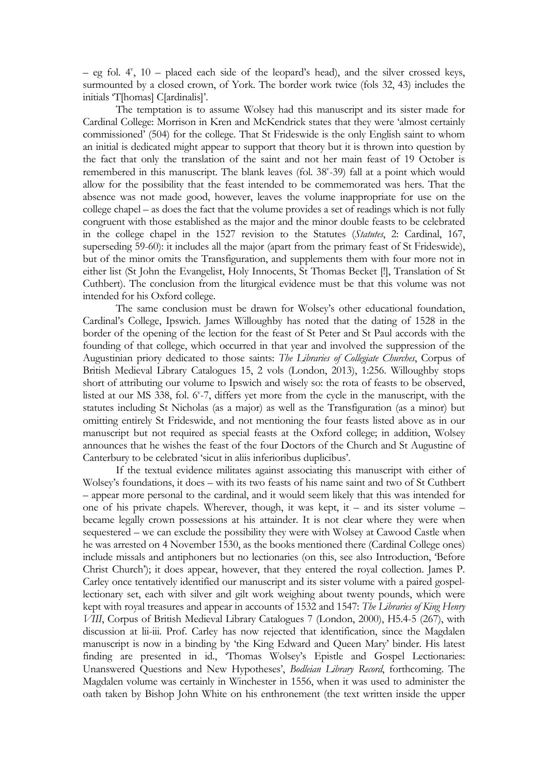$-$  eg fol.  $4^{\nu}$ , 10 – placed each side of the leopard's head), and the silver crossed keys, surmounted by a closed crown, of York. The border work twice (fols 32, 43) includes the initials 'T[homas] C[ardinalis]'.

 The temptation is to assume Wolsey had this manuscript and its sister made for Cardinal College: Morrison in Kren and McKendrick states that they were 'almost certainly commissioned' (504) for the college. That St Frideswide is the only English saint to whom an initial is dedicated might appear to support that theory but it is thrown into question by the fact that only the translation of the saint and not her main feast of 19 October is remembered in this manuscript. The blank leaves (fol. 38°-39) fall at a point which would allow for the possibility that the feast intended to be commemorated was hers. That the absence was not made good, however, leaves the volume inappropriate for use on the college chapel – as does the fact that the volume provides a set of readings which is not fully congruent with those established as the major and the minor double feasts to be celebrated in the college chapel in the 1527 revision to the Statutes (*Statutes*, 2: Cardinal, 167, superseding 59-60): it includes all the major (apart from the primary feast of St Frideswide), but of the minor omits the Transfiguration, and supplements them with four more not in either list (St John the Evangelist, Holy Innocents, St Thomas Becket [!], Translation of St Cuthbert). The conclusion from the liturgical evidence must be that this volume was not intended for his Oxford college.

 The same conclusion must be drawn for Wolsey's other educational foundation, Cardinal's College, Ipswich. James Willoughby has noted that the dating of 1528 in the border of the opening of the lection for the feast of St Peter and St Paul accords with the founding of that college, which occurred in that year and involved the suppression of the Augustinian priory dedicated to those saints: *The Libraries of Collegiate Churches*, Corpus of British Medieval Library Catalogues 15, 2 vols (London, 2013), 1:256. Willoughby stops short of attributing our volume to Ipswich and wisely so: the rota of feasts to be observed, listed at our MS 338, fol. 6'-7, differs yet more from the cycle in the manuscript, with the statutes including St Nicholas (as a major) as well as the Transfiguration (as a minor) but omitting entirely St Frideswide, and not mentioning the four feasts listed above as in our manuscript but not required as special feasts at the Oxford college; in addition, Wolsey announces that he wishes the feast of the four Doctors of the Church and St Augustine of Canterbury to be celebrated 'sicut in aliis inferioribus duplicibus'.

 If the textual evidence militates against associating this manuscript with either of Wolsey's foundations, it does – with its two feasts of his name saint and two of St Cuthbert – appear more personal to the cardinal, and it would seem likely that this was intended for one of his private chapels. Wherever, though, it was kept, it – and its sister volume – became legally crown possessions at his attainder. It is not clear where they were when sequestered – we can exclude the possibility they were with Wolsey at Cawood Castle when he was arrested on 4 November 1530, as the books mentioned there (Cardinal College ones) include missals and antiphoners but no lectionaries (on this, see also Introduction, 'Before Christ Church'); it does appear, however, that they entered the royal collection. James P. Carley once tentatively identified our manuscript and its sister volume with a paired gospellectionary set, each with silver and gilt work weighing about twenty pounds, which were kept with royal treasures and appear in accounts of 1532 and 1547: *The Libraries of King Henry VIII*, Corpus of British Medieval Library Catalogues 7 (London, 2000), H5.4-5 (267), with discussion at lii-iii. Prof. Carley has now rejected that identification, since the Magdalen manuscript is now in a binding by 'the King Edward and Queen Mary' binder. His latest finding are presented in id., 'Thomas Wolsey's Epistle and Gospel Lectionaries: Unanswered Questions and New Hypotheses', *Bodleian Library Record*, forthcoming. The Magdalen volume was certainly in Winchester in 1556, when it was used to administer the oath taken by Bishop John White on his enthronement (the text written inside the upper